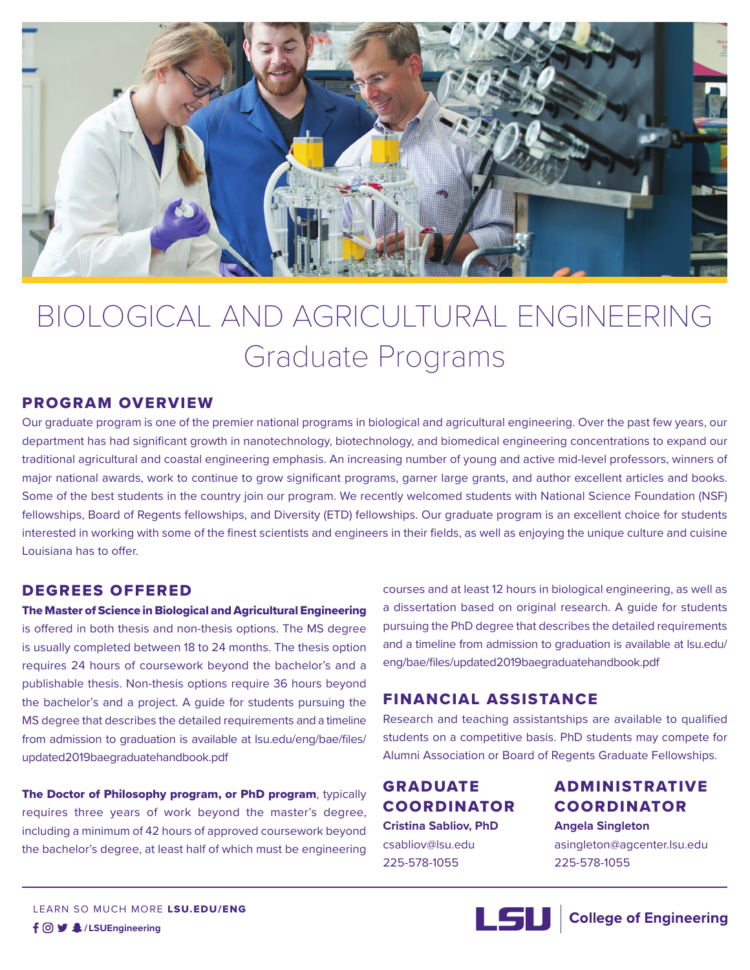

# BIOLOGICAL AND AGRICULTURAL ENGINEERING Graduate Programs

#### PROGRAM OVERVIEW

Our graduate program is one of the premier national programs in biological and agricultural engineering. Over the past few years, our department has had significant growth in nanotechnology, biotechnology, and biomedical engineering concentrations to expand our traditional agricultural and coastal engineering emphasis. An increasing number of young and active mid-level professors, winners of major national awards, work to continue to grow significant programs, garner large grants, and author excellent articles and books. Some of the best students in the country join our program. We recently welcomed students with National Science Foundation (NSF) fellowships, Board of Regents fellowships, and Diversity (ETD) fellowships. Our graduate program is an excellent choice for students interested in working with some of the finest scientists and engineers in their fields, as well as enjoying the unique culture and cuisine Louisiana has to offer.

#### DEGREES OFFERED

The Master of Science in Biological and Agricultural Engineering is offered in both thesis and non-thesis options. The MS degree is usually completed between 18 to 24 months. The thesis option requires 24 hours of coursework beyond the bachelor's and a publishable thesis. Non-thesis options require 36 hours beyond the bachelor's and a project. A guide for students pursuing the MS degree that describes the detailed requirements and a timeline from admission to graduation is available at lsu.edu/eng/bae/files/ updated2019baegraduatehandbook.pdf

The Doctor of Philosophy program, or PhD program, typically requires three years of work beyond the master's degree, including a minimum of 42 hours of approved coursework beyond the bachelor's degree, at least half of which must be engineering courses and at least 12 hours in biological engineering, as well as a dissertation based on original research. A guide for students pursuing the PhD degree that describes the detailed requirements and a timeline from admission to graduation is available at lsu.edu/ eng/bae/files/updated2019baegraduatehandbook.pdf

#### FINANCIAL ASSISTANCE

Research and teaching assistantships are available to qualified students on a competitive basis. PhD students may compete for Alumni Association or Board of Regents Graduate Fellowships.

## GRADUATE COORDINATOR

**Cristina Sabliov, PhD** csabliov@lsu.edu 225-578-1055

### ADMINISTRATIVE COORDINATOR

**Angela Singleton** asingleton@agcenter.lsu.edu 225-578-1055